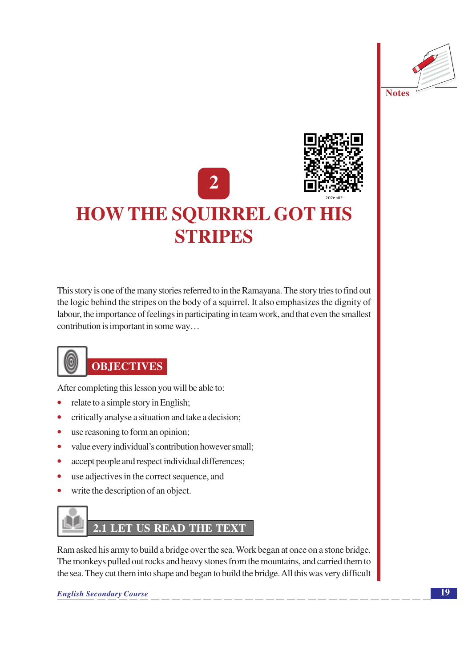



This story is one of the many stories referred to in the Ramayana. The story tries to find out the logic behind the stripes on the body of a squirrel. It also emphasizes the dignity of labour, the importance of feelings in participating in team work, and that even the smallest contribution is important in some way...



### **OBJECTIVES**

After completing this lesson you will be able to:

- relate to a simple story in English;
- critically analyse a situation and take a decision;  $\bullet$
- use reasoning to form an opinion;  $\bullet$
- value every individual's contribution however small;  $\bullet$
- accept people and respect individual differences;  $\bullet$
- use adjectives in the correct sequence, and  $\bullet$
- write the description of an object.

## 2.1 LET US READ THE TEXT

Ram asked his army to build a bridge over the sea. Work began at once on a stone bridge. The monkeys pulled out rocks and heavy stones from the mountains, and carried them to the sea. They cut them into shape and began to build the bridge. All this was very difficult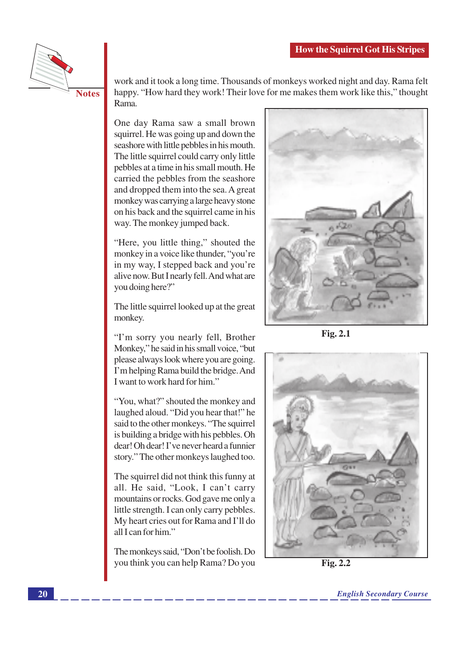

**Notes** 

work and it took a long time. Thousands of monkeys worked night and day. Rama felt happy. "How hard they work! Their love for me makes them work like this," thought Rama.

One day Rama saw a small brown squirrel. He was going up and down the seashore with little pebbles in his mouth. The little squirrel could carry only little pebbles at a time in his small mouth. He carried the pebbles from the seashore and dropped them into the sea. A great monkey was carrying a large heavy stone on his back and the squirrel came in his way. The monkey jumped back.

"Here, you little thing," shouted the monkey in a voice like thunder, "you're in my way, I stepped back and you're alive now. But I nearly fell. And what are you doing here?"

The little squirrel looked up at the great monkey.

"I'm sorry you nearly fell, Brother Monkey," he said in his small voice, "but please always look where you are going. I'm helping Rama build the bridge. And I want to work hard for him."

"You, what?" shouted the monkey and laughed aloud. "Did you hear that!" he said to the other monkeys. "The squirrel is building a bridge with his pebbles. Oh dear! Oh dear! I've never heard a funnier story." The other monkeys laughed too.

The squirrel did not think this funny at all. He said, "Look, I can't carry mountains or rocks. God gave me only a little strength. I can only carry pebbles. My heart cries out for Rama and I'll do all Lean for him"

The monkeys said, "Don't be foolish. Do you think you can help Rama? Do you



**Fig. 2.1** 



Fig. 2.2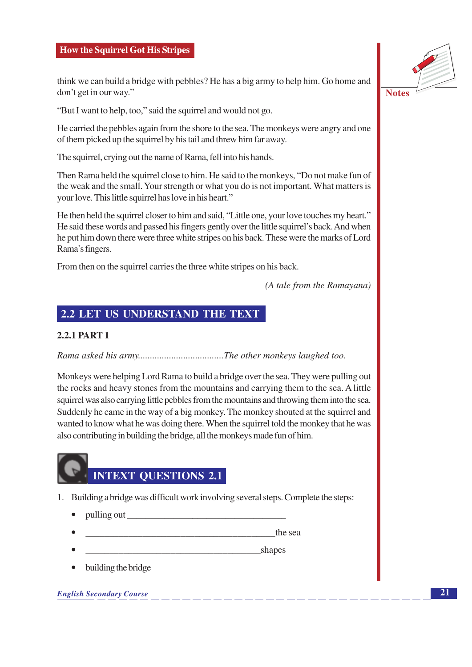think we can build a bridge with pebbles? He has a big army to help him. Go home and don't get in our way."

"But I want to help, too," said the squirrel and would not go.

He carried the pebbles again from the shore to the sea. The monkeys were angry and one of them picked up the squirrel by his tail and threw him far away.

The squirrel, crying out the name of Rama, fell into his hands.

Then Rama held the squirrel close to him. He said to the monkeys, "Do not make fun of the weak and the small. Your strength or what you do is not important. What matters is your love. This little squirrel has love in his heart."

He then held the squirrel closer to him and said, "Little one, your love touches my heart." He said these words and passed his fingers gently over the little squirrel's back. And when he put him down there were three white stripes on his back. These were the marks of Lord Rama's fingers.

From then on the squirrel carries the three white stripes on his back.

(A tale from the Ramayana)

### **2.2 LET US UNDERSTAND THE TEXT**

### 2.2.1 PART 1

Rama asked his army...................................The other monkeys laughed too.

Monkeys were helping Lord Rama to build a bridge over the sea. They were pulling out the rocks and heavy stones from the mountains and carrying them to the sea. A little squirrel was also carrying little pebbles from the mountains and throwing them into the sea. Suddenly he came in the way of a big monkey. The monkey shouted at the squirrel and wanted to know what he was doing there. When the squirrel told the monkey that he was also contributing in building the bridge, all the monkeys made fun of him.

# **INTEXT QUESTIONS 2.1**

- 1. Building a bridge was difficult work involving several steps. Complete the steps:
	- pulling out
	- the sea
	- **Example 2** Shapes
	- building the bridge

**English Secondary Course** 



**Notes**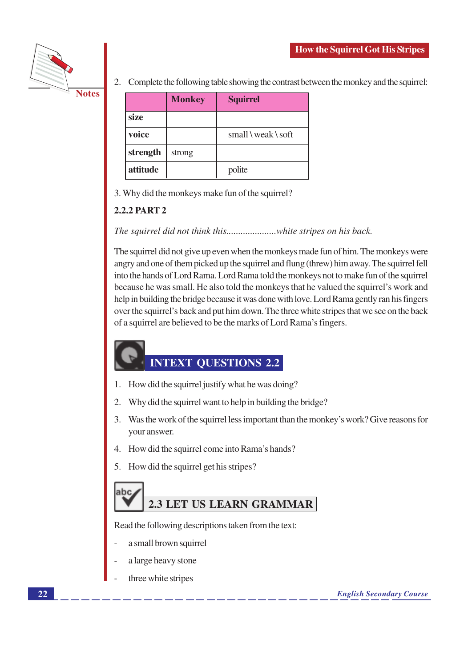

2. Complete the following table showing the contrast between the monkey and the squirrel:

|          | <b>Monkey</b> | <b>Squirrel</b>                 |
|----------|---------------|---------------------------------|
| size     |               |                                 |
| voice    |               | $small \$ weak $\setminus$ soft |
| strength | strong        |                                 |
| attitude |               | polite                          |

3. Why did the monkeys make fun of the squirrel?

### **2.2.2 PART 2**

The squirrel did not give up even when the monkeys made fun of him. The monkeys were angry and one of them picked up the squirrel and flung (threw) him away. The squirrel fell into the hands of Lord Rama. Lord Rama told the monkeys not to make fun of the squirrel because he was small. He also told the monkeys that he valued the squirrel's work and help in building the bridge because it was done with love. Lord Rama gently ran his fingers over the squirrel's back and put him down. The three white stripes that we see on the back of a squirrel are believed to be the marks of Lord Rama's fingers.

### **INTEXT QUESTIONS 2.2**

- 1. How did the squirrel justify what he was doing?
- 2. Why did the squirrel want to help in building the bridge?
- Was the work of the squirrel less important than the monkey's work? Give reasons for 3. vour answer.
- 4. How did the squirrel come into Rama's hands?
- 5. How did the squirrel get his stripes?

### abc **2.3 LET US LEARN GRAMMAR**

Read the following descriptions taken from the text:

- a small brown squirrel
- a large heavy stone
- three white stripes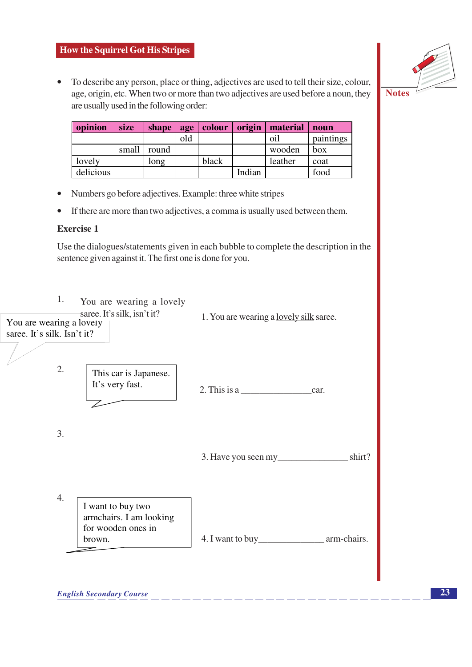

To describe any person, place or thing, adjectives are used to tell their size, colour,  $\bullet$ age, origin, etc. When two or more than two adjectives are used before a noun, they are usually used in the following order:

| opinion   | size  | shape | age | colour | origin | material | noun      |
|-----------|-------|-------|-----|--------|--------|----------|-----------|
|           |       |       | old |        |        | oil      | paintings |
|           | small | round |     |        |        | wooden   | box       |
| lovely    |       | long  |     | black  |        | leather  | coat      |
| delicious |       |       |     |        | Indian |          | food      |

- Numbers go before adjectives. Example: three white stripes  $\bullet$
- If there are more than two adjectives, a comma is usually used between them.  $\bullet$

### **Exercise 1**

Use the dialogues/statements given in each bubble to complete the description in the sentence given against it. The first one is done for you.

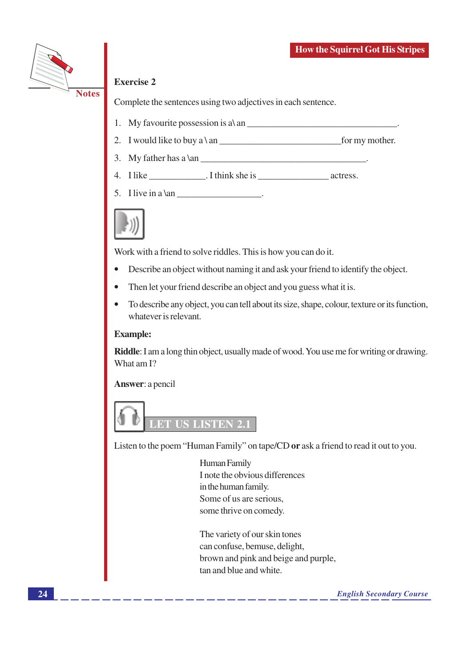

### **Exercise 2**

Complete the sentences using two adjectives in each sentence.

- 1. My favourite possession is  $a \setminus an$
- 2. I would like to buy a \ an  $\Box$  for my mother.
- 3. My father has a  $\tan$
- 
- 5. I live in a  $\tan$



Work with a friend to solve riddles. This is how you can do it.

- Describe an object without naming it and ask your friend to identify the object.
- Then let your friend describe an object and you guess what it is.
- To describe any object, you can tell about its size, shape, colour, texture or its function, whatever is relevant.

### **Example:**

**Riddle**: I am a long thin object, usually made of wood. You use me for writing or drawing. What am I?

Answer: a pencil



Listen to the poem "Human Family" on tape/CD or ask a friend to read it out to you.

Human Family I note the obvious differences in the human family. Some of us are serious. some thrive on comedy.

The variety of our skin tones can confuse, bemuse, delight, brown and pink and beige and purple, tan and blue and white.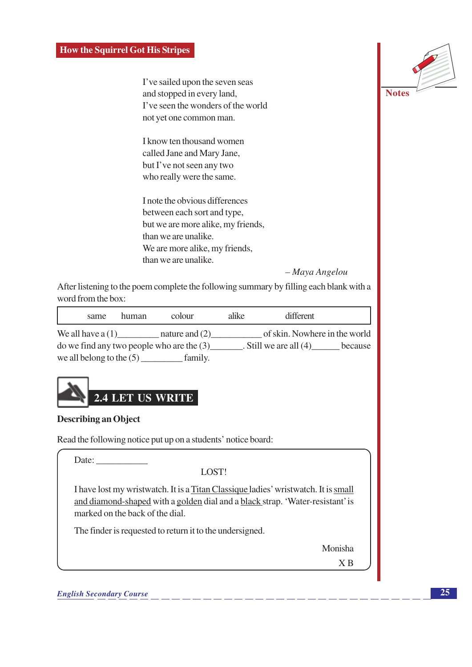I've sailed upon the seven seas and stopped in every land, I've seen the wonders of the world not yet one common man.

I know ten thousand women called Jane and Mary Jane, but I've not seen any two who really were the same.

I note the obvious differences between each sort and type, but we are more alike, my friends, than we are unalike. We are more alike, my friends, than we are unalike.

- Maya Angelou

**Notes** 

After listening to the poem complete the following summary by filling each blank with a word from the box:

| same | human | colour                                               | alike | different                     |         |
|------|-------|------------------------------------------------------|-------|-------------------------------|---------|
|      |       | We all have $a(1)$ nature and $(2)$                  |       | of skin. Nowhere in the world |         |
|      |       | $\alpha$ do we find any two people who are the $(3)$ |       | . Still we are all $(4)$      | because |
|      |       | we all belong to the $(5)$ family.                   |       |                               |         |



### **Describing an Object**

Read the following notice put up on a students' notice board:

Date:

LOST!

I have lost my wristwatch. It is a Titan Classique ladies' wristwatch. It is small and diamond-shaped with a golden dial and a black strap. 'Water-resistant' is marked on the back of the dial.

The finder is requested to return it to the undersigned.

Monisha

 $X B$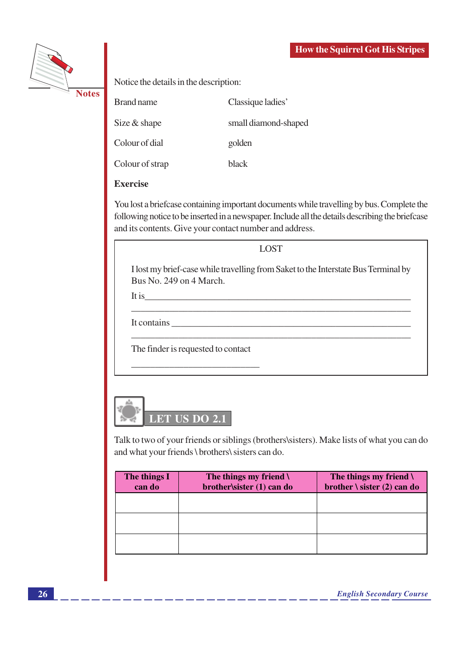

Notice the details in the description:

**Brand name** Classique ladies' Size & shape small diamond-shaped Colour of dial golden

Colour of strap

**Exercise** 

You lost a brief case containing important documents while travelling by bus. Complete the following notice to be inserted in a newspaper. Include all the details describing the briefcase and its contents. Give your contact number and address.

black

**LOST** 

I lost my brief-case while travelling from Saket to the Interstate Bus Terminal by Bus No. 249 on 4 March.

It is

It contains

The finder is requested to contact



Talk to two of your friends or siblings (brothers\sisters). Make lists of what you can do and what your friends \ brothers\ sisters can do.

| The things I<br>can do | The things my friend $\lambda$<br>brother\sister (1) can do | The things my friend $\setminus$<br>brother $\setminus$ sister (2) can do |
|------------------------|-------------------------------------------------------------|---------------------------------------------------------------------------|
|                        |                                                             |                                                                           |
|                        |                                                             |                                                                           |
|                        |                                                             |                                                                           |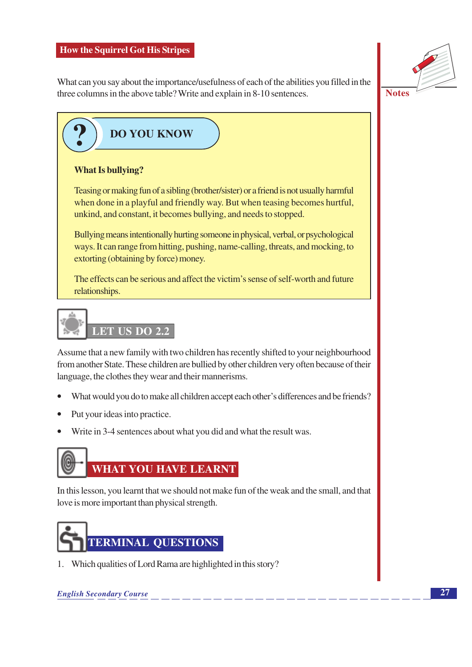What can you say about the importance/usefulness of each of the abilities you filled in the three columns in the above table? Write and explain in 8-10 sentences.



**Notes** 

### **DO YOU KNOW**

### **What Is bullying?**

Teasing or making fun of a sibling (brother/sister) or a friend is not usually harmful when done in a playful and friendly way. But when teasing becomes hurtful, unkind, and constant, it becomes bullying, and needs to stopped.

Bullying means intentionally hurting someone in physical, verbal, or psychological ways. It can range from hitting, pushing, name-calling, threats, and mocking, to extorting (obtaining by force) money.

The effects can be serious and affect the victim's sense of self-worth and future relationships.

## LET US DO 2.2

Assume that a new family with two children has recently shifted to your neighbourhood from another State. These children are bullied by other children very often because of their language, the clothes they wear and their mannerisms.

- What would you do to make all children accept each other's differences and be friends?  $\bullet$
- Put your ideas into practice.
- Write in 3-4 sentences about what you did and what the result was.  $\bullet$



In this lesson, you learnt that we should not make fun of the weak and the small, and that love is more important than physical strength.



1. Which qualities of Lord Rama are highlighted in this story?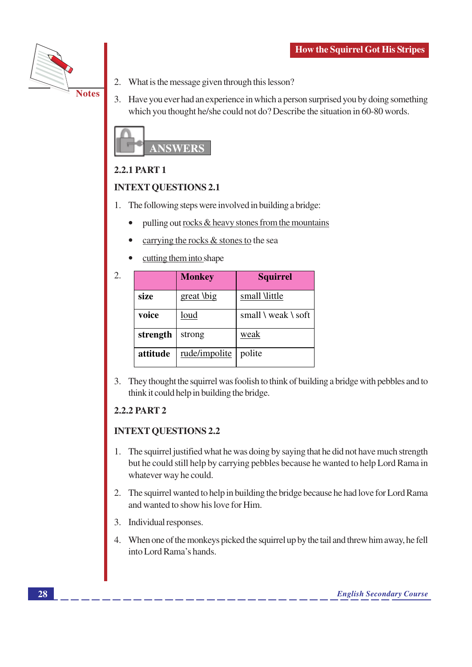

- 2. What is the message given through this lesson?
- 3. Have you ever had an experience in which a person surprised you by doing something which you thought he/she could not do? Describe the situation in 60-80 words.



### **2.2.1 PART 1**

### **INTEXT OUESTIONS 2.1**

- 1. The following steps were involved in building a bridge:
	- $\bullet$ pulling out rocks & heavy stones from the mountains
	- carrying the rocks & stones to the sea
	- cutting them into shape

| 2.   |          | <b>Monkey</b> | <b>Squirrel</b>                           |  |
|------|----------|---------------|-------------------------------------------|--|
| size |          | great \big    | small \little                             |  |
|      | voice    | loud          | small $\backslash$ weak $\backslash$ soft |  |
|      | strength | strong        | weak                                      |  |
|      | attitude | rude/impolite | polite                                    |  |

3. They thought the squirrel was foolish to think of building a bridge with pebbles and to think it could help in building the bridge.

### **2.2.2 PART 2**

### **INTEXT QUESTIONS 2.2**

- 1. The squirrel justified what he was doing by saying that he did not have much strength but he could still help by carrying pebbles because he wanted to help Lord Rama in whatever way he could.
- 2. The squirrel wanted to help in building the bridge because he had love for Lord Rama and wanted to show his love for Him.
- 3. Individual responses.
- 4. When one of the monkeys picked the squirrel up by the tail and threw him away, he fell into Lord Rama's hands.